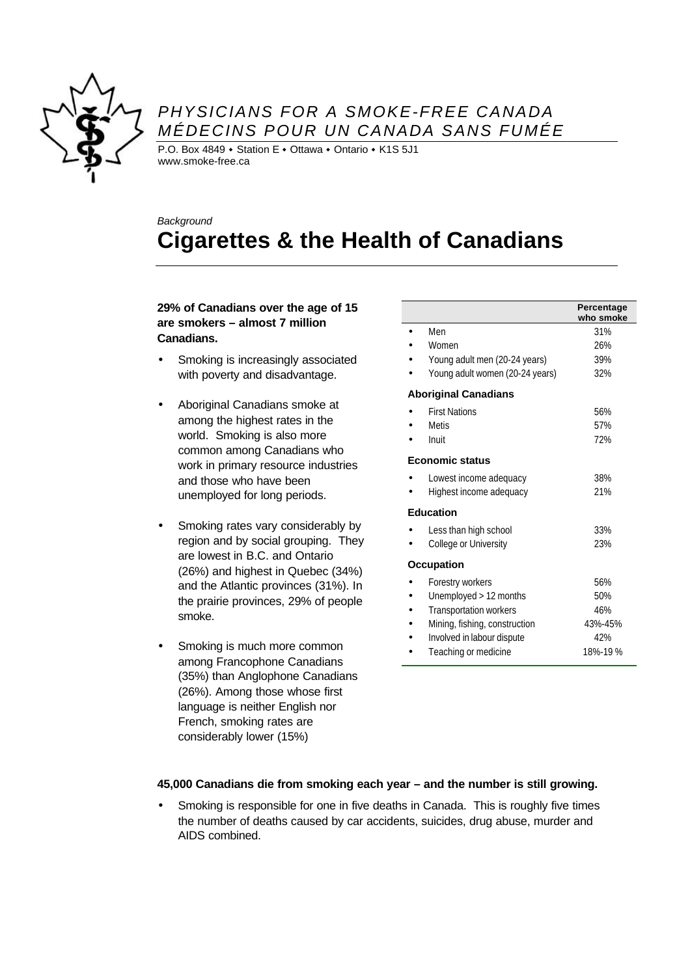

### *PHYSICIANS FOR A SMOKE-FREE CANADA MÉDECINS POUR UN CANADA SANS FUMÉE*

P.O. Box 4849  $\cdot$  Station E  $\cdot$  Ottawa  $\cdot$  Ontario  $\cdot$  K1S 5J1 www.smoke-free.ca

# *Background* **Cigarettes & the Health of Canadians**

#### **29% of Canadians over the age of 15 are smokers – almost 7 million Canadians.**

- Smoking is increasingly associated with poverty and disadvantage.
- Aboriginal Canadians smoke at among the highest rates in the world. Smoking is also more common among Canadians who work in primary resource industries and those who have been unemployed for long periods.
- Smoking rates vary considerably by region and by social grouping. They are lowest in B.C. and Ontario (26%) and highest in Quebec (34%) and the Atlantic provinces (31%). In the prairie provinces, 29% of people smoke.
- Smoking is much more common among Francophone Canadians (35%) than Anglophone Canadians (26%). Among those whose first language is neither English nor French, smoking rates are considerably lower (15%)

|                                 | Percentage<br>who smoke |
|---------------------------------|-------------------------|
| Men                             | 31%                     |
| Women                           | 26%                     |
| Young adult men (20-24 years)   | 39%                     |
| Young adult women (20-24 years) | 32%                     |
| <b>Aboriginal Canadians</b>     |                         |
| <b>First Nations</b>            | 56%                     |
| Metis                           | 57%                     |
| Inuit                           | 72%                     |
| <b>Economic status</b>          |                         |
| Lowest income adequacy          | 38%                     |
| Highest income adequacy         | 21%                     |
| <b>Education</b>                |                         |
| Less than high school           | 33%                     |
| College or University           | 23%                     |
| <b>Occupation</b>               |                         |
| Forestry workers                | 56%                     |
| Unemployed > 12 months          | 50%                     |
| Transportation workers          | 46%                     |
| Mining, fishing, construction   | 43%-45%                 |
| Involved in labour dispute      | 42%                     |
| Teaching or medicine            | 18%-19%                 |

### **45,000 Canadians die from smoking each year – and the number is still growing.**

• Smoking is responsible for one in five deaths in Canada. This is roughly five times the number of deaths caused by car accidents, suicides, drug abuse, murder and AIDS combined.